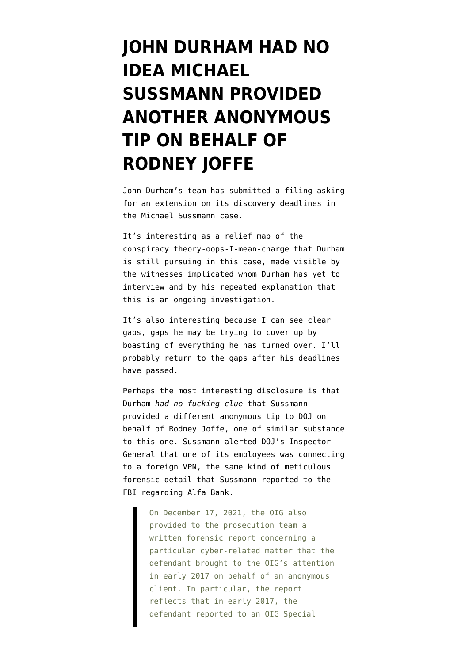## **[JOHN DURHAM HAD NO](https://www.emptywheel.net/2022/01/25/john-durham-had-no-idea-michael-sussmann-provided-another-anonymous-tip-for-rodney-joffe/) [IDEA MICHAEL](https://www.emptywheel.net/2022/01/25/john-durham-had-no-idea-michael-sussmann-provided-another-anonymous-tip-for-rodney-joffe/) [SUSSMANN PROVIDED](https://www.emptywheel.net/2022/01/25/john-durham-had-no-idea-michael-sussmann-provided-another-anonymous-tip-for-rodney-joffe/) [ANOTHER ANONYMOUS](https://www.emptywheel.net/2022/01/25/john-durham-had-no-idea-michael-sussmann-provided-another-anonymous-tip-for-rodney-joffe/) [TIP ON BEHALF OF](https://www.emptywheel.net/2022/01/25/john-durham-had-no-idea-michael-sussmann-provided-another-anonymous-tip-for-rodney-joffe/) [RODNEY JOFFE](https://www.emptywheel.net/2022/01/25/john-durham-had-no-idea-michael-sussmann-provided-another-anonymous-tip-for-rodney-joffe/)**

John Durham's team has submitted [a filing asking](https://storage.courtlistener.com/recap/gov.uscourts.dcd.235638/gov.uscourts.dcd.235638.33.0.pdf) [for an extension](https://storage.courtlistener.com/recap/gov.uscourts.dcd.235638/gov.uscourts.dcd.235638.33.0.pdf) on its discovery deadlines in the Michael Sussmann case.

It's interesting as a relief map of the conspiracy theory-oops-I-mean-charge that Durham is still pursuing in this case, made visible by the witnesses implicated whom Durham has yet to interview and by his repeated explanation that this is an ongoing investigation.

It's also interesting because I can see clear gaps, gaps he may be trying to cover up by boasting of everything he has turned over. I'll probably return to the gaps after his deadlines have passed.

Perhaps the most interesting disclosure is that Durham *had no fucking clue* that Sussmann provided a different anonymous tip to DOJ on behalf of Rodney Joffe, one of similar substance to this one. Sussmann alerted DOJ's Inspector General that one of its employees was connecting to a foreign VPN, the same kind of meticulous forensic detail that Sussmann reported to the FBI regarding Alfa Bank.

> On December 17, 2021, the OIG also provided to the prosecution team a written forensic report concerning a particular cyber-related matter that the defendant brought to the OIG's attention in early 2017 on behalf of an anonymous client. In particular, the report reflects that in early 2017, the defendant reported to an OIG Special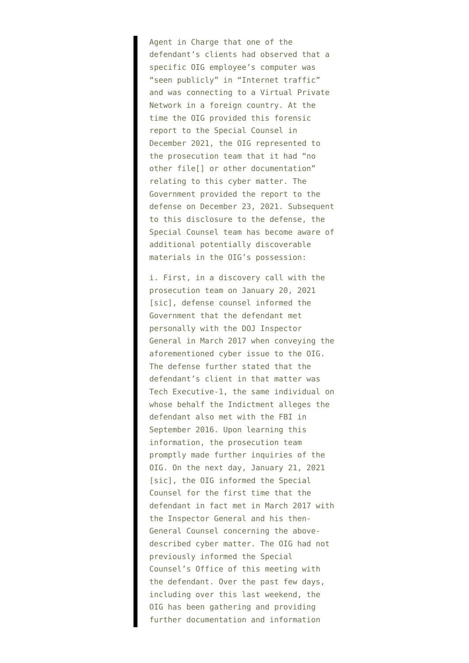Agent in Charge that one of the defendant's clients had observed that a specific OIG employee's computer was "seen publicly" in "Internet traffic" and was connecting to a Virtual Private Network in a foreign country. At the time the OIG provided this forensic report to the Special Counsel in December 2021, the OIG represented to the prosecution team that it had "no other file[] or other documentation" relating to this cyber matter. The Government provided the report to the defense on December 23, 2021. Subsequent to this disclosure to the defense, the Special Counsel team has become aware of additional potentially discoverable materials in the OIG's possession:

i. First, in a discovery call with the prosecution team on January 20, 2021 [sic], defense counsel informed the Government that the defendant met personally with the DOJ Inspector General in March 2017 when conveying the aforementioned cyber issue to the OIG. The defense further stated that the defendant's client in that matter was Tech Executive-1, the same individual on whose behalf the Indictment alleges the defendant also met with the FBI in September 2016. Upon learning this information, the prosecution team promptly made further inquiries of the OIG. On the next day, January 21, 2021 [sic], the OIG informed the Special Counsel for the first time that the defendant in fact met in March 2017 with the Inspector General and his then-General Counsel concerning the abovedescribed cyber matter. The OIG had not previously informed the Special Counsel's Office of this meeting with the defendant. Over the past few days, including over this last weekend, the OIG has been gathering and providing further documentation and information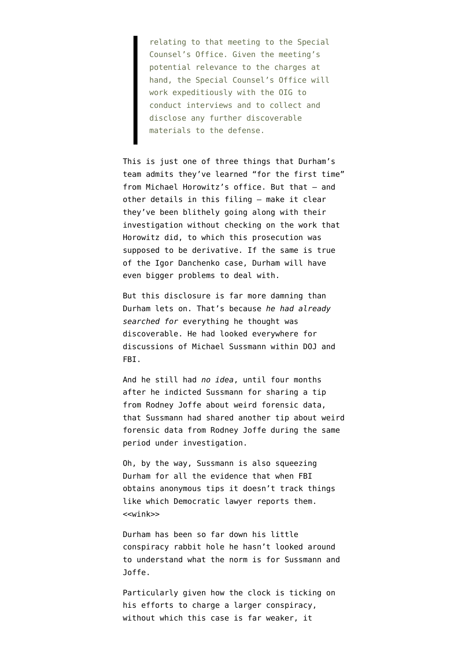relating to that meeting to the Special Counsel's Office. Given the meeting's potential relevance to the charges at hand, the Special Counsel's Office will work expeditiously with the OIG to conduct interviews and to collect and disclose any further discoverable materials to the defense.

This is just one of three things that Durham's team admits they've learned "for the first time" from Michael Horowitz's office. But that — and other details in this filing — make it clear they've been blithely going along with their investigation without checking on the work that Horowitz did, to which this prosecution was supposed to be derivative. If the same is true of [the Igor Danchenko case,](https://www.emptywheel.net/2021/11/07/john-durham-may-have-made-igor-danchenko-aggrieved-under-fisa/) Durham will have even bigger problems to deal with.

But this disclosure is far more damning than Durham lets on. That's because *he had already searched for* everything he thought was discoverable. He had looked everywhere for discussions of Michael Sussmann within DOJ and FBI.

And he still had *no idea*, until four months after he indicted Sussmann for sharing a tip from Rodney Joffe about weird forensic data, that Sussmann had shared another tip about weird forensic data from Rodney Joffe during the same period under investigation.

Oh, by the way, Sussmann is also squeezing Durham for all the evidence that when FBI obtains anonymous tips it doesn't track things like which Democratic lawyer reports them. <<wink>>

Durham has been so far down his little conspiracy rabbit hole he hasn't looked around to understand what the norm is for Sussmann and Joffe.

Particularly given how the clock is ticking on his efforts to charge a larger conspiracy, without which this case is far weaker, it